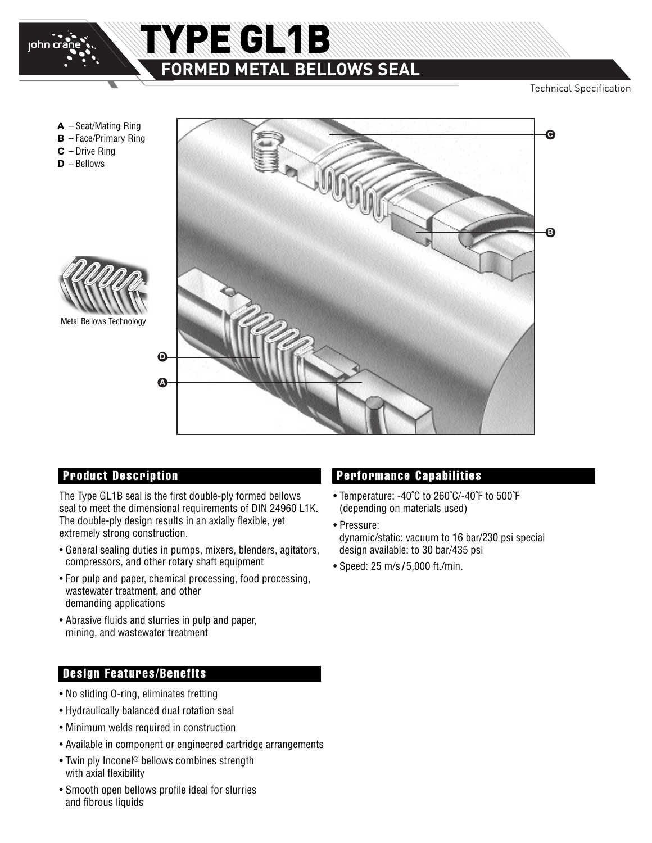

# TYPE GL1B **FORMED METAL BELLOWS SEAL**

Technical Specification

**A** – Seat/Mating Ring **B** – Face/Primary Ring

- **C** Drive Ring
- **D** Bellows



Metal Bellows Technology



The Type GL1B seal is the first double-ply formed bellows seal to meet the dimensional requirements of DIN 24960 L1K. The double-ply design results in an axially flexible, yet extremely strong construction.

- General sealing duties in pumps, mixers, blenders, agitators, compressors, and other rotary shaft equipment
- For pulp and paper, chemical processing, food processing, wastewater treatment, and other demanding applications
- Abrasive fluids and slurries in pulp and paper, mining, and wastewater treatment

### **Design Features/Benefits**

- No sliding O-ring, eliminates fretting
- Hydraulically balanced dual rotation seal
- Minimum welds required in construction
- Available in component or engineered cartridge arrangements
- Twin ply Inconel ® bellows combines strength with axial flexibility
- Smooth open bellows profile ideal for slurries and fibrous liquids

### **Product Description Performance Capabilities**

- Temperature: -40˚C to 260˚C/-40˚F to 500˚F (depending on materials used)
- Pressure: dynamic/static: vacuum to 16 bar/230 psi special design available: to 30 bar/435 psi
- Speed: 25 m/s **/** 5,000 ft./min.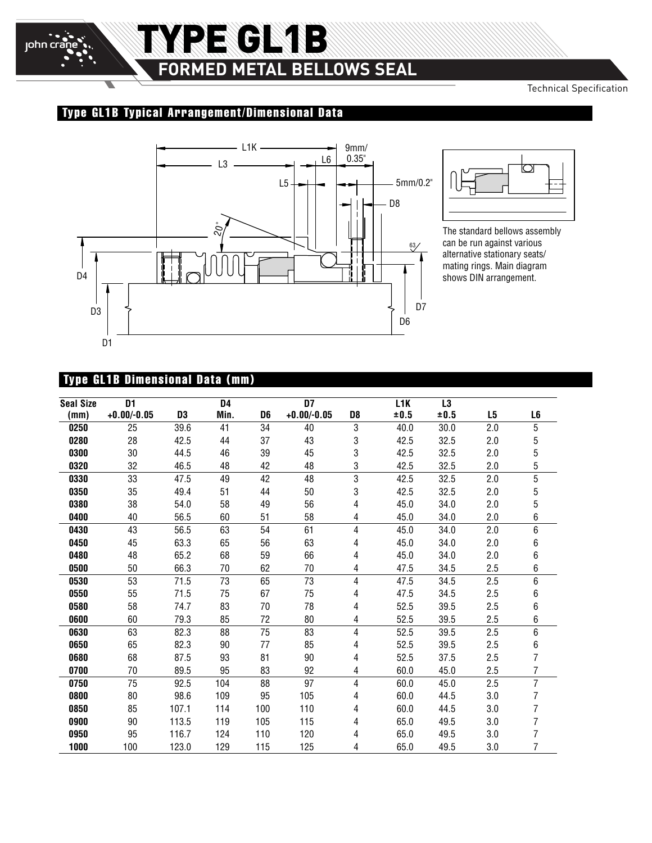

 $\overline{\phantom{0}}$ 

# TYPE GL1B **FORMED METAL BELLOWS SEAL**

Technical Specification

### **Type GL1B Typical Arrangement/Dimensional Data**





The standard bellows assembly can be run against various alternative stationary seats/ mating rings. Main diagram shows DIN arrangement.

### **Type GL1B Dimensional Data (mm)**

| <b>Seal Size</b> | D <sub>1</sub> |                | D4   |                | $\overline{D7}$ |                | L <sub>1</sub> K | L3   |                |                |
|------------------|----------------|----------------|------|----------------|-----------------|----------------|------------------|------|----------------|----------------|
| (mm)             | $+0.00/-0.05$  | D <sub>3</sub> | Min. | D <sub>6</sub> | $+0.00/-0.05$   | D <sub>8</sub> | ±0.5             | ±0.5 | L <sub>5</sub> | L <sub>6</sub> |
| 0250             | 25             | 39.6           | 41   | 34             | 40              | 3              | 40.0             | 30.0 | 2.0            | 5              |
| 0280             | 28             | 42.5           | 44   | 37             | 43              | 3              | 42.5             | 32.5 | 2.0            | 5              |
| 0300             | 30             | 44.5           | 46   | 39             | 45              | 3              | 42.5             | 32.5 | 2.0            | 5              |
| 0320             | 32             | 46.5           | 48   | 42             | 48              | 3              | 42.5             | 32.5 | 2.0            | 5              |
| 0330             | 33             | 47.5           | 49   | 42             | 48              | 3              | 42.5             | 32.5 | 2.0            | $\overline{5}$ |
| 0350             | 35             | 49.4           | 51   | 44             | 50              | 3              | 42.5             | 32.5 | 2.0            | $\sqrt{5}$     |
| 0380             | 38             | 54.0           | 58   | 49             | 56              | 4              | 45.0             | 34.0 | 2.0            | $\sqrt{5}$     |
| 0400             | 40             | 56.5           | 60   | 51             | 58              | 4              | 45.0             | 34.0 | 2.0            | 6              |
| 0430             | 43             | 56.5           | 63   | 54             | 61              | 4              | 45.0             | 34.0 | 2.0            | 6              |
| 0450             | 45             | 63.3           | 65   | 56             | 63              | 4              | 45.0             | 34.0 | 2.0            | 6              |
| 0480             | 48             | 65.2           | 68   | 59             | 66              | 4              | 45.0             | 34.0 | 2.0            | 6              |
| 0500             | 50             | 66.3           | 70   | 62             | 70              | 4              | 47.5             | 34.5 | 2.5            | 6              |
| 0530             | 53             | 71.5           | 73   | 65             | 73              | 4              | 47.5             | 34.5 | 2.5            | 6              |
| 0550             | 55             | 71.5           | 75   | 67             | 75              | 4              | 47.5             | 34.5 | 2.5            | 6              |
| 0580             | 58             | 74.7           | 83   | 70             | 78              | 4              | 52.5             | 39.5 | 2.5            | 6              |
| 0600             | 60             | 79.3           | 85   | 72             | 80              | 4              | 52.5             | 39.5 | 2.5            | 6              |
| 0630             | 63             | 82.3           | 88   | 75             | 83              | 4              | 52.5             | 39.5 | 2.5            | $\overline{6}$ |
| 0650             | 65             | 82.3           | 90   | 77             | 85              | 4              | 52.5             | 39.5 | 2.5            | 6              |
| 0680             | 68             | 87.5           | 93   | 81             | 90              | 4              | 52.5             | 37.5 | 2.5            | $\overline{7}$ |
| 0700             | 70             | 89.5           | 95   | 83             | 92              | 4              | 60.0             | 45.0 | 2.5            | 7              |
| 0750             | 75             | 92.5           | 104  | 88             | 97              | 4              | 60.0             | 45.0 | 2.5            | $\overline{7}$ |
| 0800             | 80             | 98.6           | 109  | 95             | 105             | 4              | 60.0             | 44.5 | 3.0            | 7              |
| 0850             | 85             | 107.1          | 114  | 100            | 110             | 4              | 60.0             | 44.5 | 3.0            | 7              |
| 0900             | 90             | 113.5          | 119  | 105            | 115             | 4              | 65.0             | 49.5 | 3.0            | 7              |
| 0950             | 95             | 116.7          | 124  | 110            | 120             | 4              | 65.0             | 49.5 | 3.0            | 7              |
| 1000             | 100            | 123.0          | 129  | 115            | 125             | 4              | 65.0             | 49.5 | 3.0            | 7              |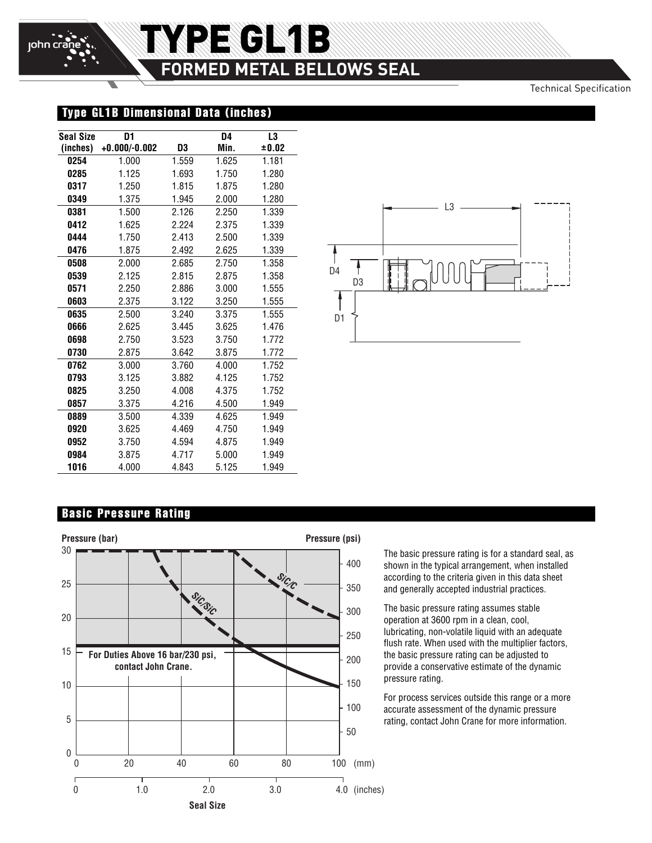# TYPE GL1B **FORMED METAL BELLOWS SEAL**

Technical Specification

### **Type GL1B Dimensional Data (inches)**

| <b>Seal Size</b> | D1              |       | D4    | L3    |
|------------------|-----------------|-------|-------|-------|
| (inches)         | $+0.000/-0.002$ | D3    | Min.  | ±0.02 |
| 0254             | 1.000           | 1.559 | 1.625 | 1.181 |
| 0285             | 1.125           | 1.693 | 1.750 | 1.280 |
| 0317             | 1.250           | 1.815 | 1.875 | 1.280 |
| 0349             | 1.375           | 1.945 | 2.000 | 1.280 |
| 0381             | 1.500           | 2.126 | 2.250 | 1.339 |
| 0412             | 1.625           | 2.224 | 2.375 | 1.339 |
| 0444             | 1.750           | 2.413 | 2.500 | 1.339 |
| 0476             | 1.875           | 2.492 | 2.625 | 1.339 |
| 0508             | 2.000           | 2.685 | 2.750 | 1.358 |
| 0539             | 2.125           | 2.815 | 2.875 | 1.358 |
| 0571             | 2.250           | 2.886 | 3.000 | 1.555 |
| 0603             | 2.375           | 3.122 | 3.250 | 1.555 |
| 0635             | 2.500           | 3.240 | 3.375 | 1.555 |
| 0666             | 2.625           | 3.445 | 3.625 | 1.476 |
| 0698             | 2.750           | 3.523 | 3.750 | 1.772 |
| 0730             | 2.875           | 3.642 | 3.875 | 1.772 |
| 0762             | 3.000           | 3.760 | 4.000 | 1.752 |
| 0793             | 3.125           | 3.882 | 4.125 | 1.752 |
| 0825             | 3.250           | 4.008 | 4.375 | 1.752 |
| 0857             | 3.375           | 4.216 | 4.500 | 1.949 |
| 0889             | 3.500           | 4.339 | 4.625 | 1.949 |
| 0920             | 3.625           | 4.469 | 4.750 | 1.949 |
| 0952             | 3.750           | 4.594 | 4.875 | 1.949 |
| 0984             | 3.875           | 4.717 | 5.000 | 1.949 |
| 1016             | 4.000           | 4.843 | 5.125 | 1.949 |



#### **Basic Pressure Rating**



The basic pressure rating is for a standard seal, as shown in the typical arrangement, when installed according to the criteria given in this data sheet and generally accepted industrial practices.

The basic pressure rating assumes stable operation at 3600 rpm in a clean, cool, lubricating, non-volatile liquid with an adequate flush rate. When used with the multiplier factors, the basic pressure rating can be adjusted to provide a conservative estimate of the dynamic pressure rating.

For process services outside this range or a more accurate assessment of the dynamic pressure rating, contact John Crane for more information.